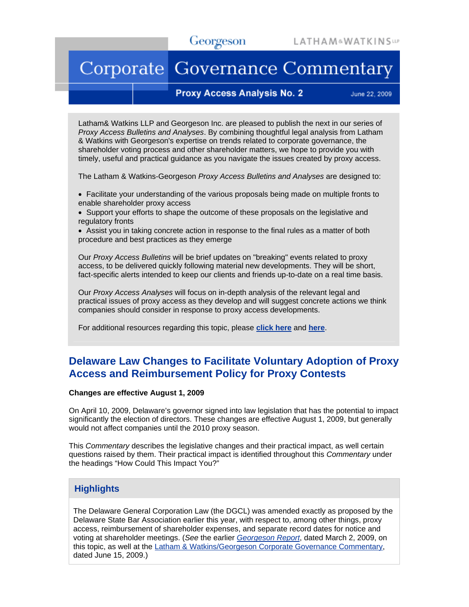# Corporate Governance Commentary

## **Proxy Access Analysis No. 2**

June 22, 2009

Latham& Watkins LLP and Georgeson Inc. are pleased to publish the next in our series of *Proxy Access Bulletins and Analyses*. By combining thoughtful legal analysis from Latham & Watkins with Georgeson's expertise on trends related to corporate governance, the shareholder voting process and other shareholder matters, we hope to provide you with timely, useful and practical guidance as you navigate the issues created by proxy access.

The Latham & Watkins-Georgeson *Proxy Access Bulletins and Analyses* are designed to:

• Facilitate your understanding of the various proposals being made on multiple fronts to enable shareholder proxy access

• Support your efforts to shape the outcome of these proposals on the legislative and regulatory fronts

• Assist you in taking concrete action in response to the final rules as a matter of both procedure and best practices as they emerge

Our *Proxy Access Bulletins* will be brief updates on "breaking" events related to proxy access, to be delivered quickly following material new developments. They will be short, fact-specific alerts intended to keep our clients and friends up-to-date on a real time basis.

Our *Proxy Access Analyses* will focus on in-depth analysis of the relevant legal and practical issues of proxy access as they develop and will suggest concrete actions we think companies should consider in response to proxy access developments.

For additional resources regarding this topic, please **[click here](http://www.lw.com/AboutLatham.aspx?page=proxyAccess)** and **[here](http://www.georgeson.com/usa/download/georgeson_report/GeorgesonReport_030209.pdf)**.

## **Delaware Law Changes to Facilitate Voluntary Adoption of Proxy Access and Reimbursement Policy for Proxy Contests**

#### **Changes are effective August 1, 2009**

On April 10, 2009, Delaware's governor signed into law legislation that has the potential to impact significantly the election of directors. These changes are effective August 1, 2009, but generally would not affect companies until the 2010 proxy season.

This *Commentary* describes the legislative changes and their practical impact, as well certain questions raised by them. Their practical impact is identified throughout this *Commentary* under the headings "How Could This Impact You?"

## **Highlights**

The Delaware General Corporation Law (the DGCL) was amended exactly as proposed by the Delaware State Bar Association earlier this year, with respect to, among other things, proxy access, reimbursement of shareholder expenses, and separate record dates for notice and voting at shareholder meetings. (*See* the earlier *[Georgeson Report](http://www.georgeson.com/usa/download/georgeson_report0309.html)*, dated March 2, 2009, on this topic, as well at the [Latham & Watkins/Georgeson Corporate Governance Commentary,](http://www.georgeson.com/usa/download/corp_gov_commentary.html) dated June 15, 2009.)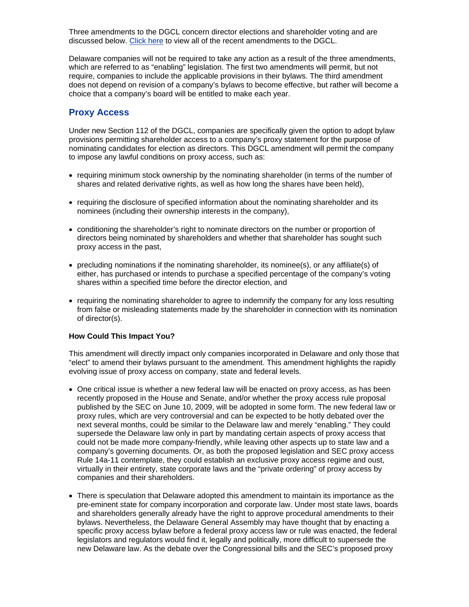Three amendments to the DGCL concern director elections and shareholder voting and are discussed below. [Click here](http://legis.delaware.gov/LIS/lis145.nsf/vwLegislation/HB+19/$file/legis.html?open) to view all of the recent amendments to the DGCL.

Delaware companies will not be required to take any action as a result of the three amendments, which are referred to as "enabling" legislation. The first two amendments will permit, but not require, companies to include the applicable provisions in their bylaws. The third amendment does not depend on revision of a company's bylaws to become effective, but rather will become a choice that a company's board will be entitled to make each year.

## **Proxy Access**

Under new Section 112 of the DGCL, companies are specifically given the option to adopt bylaw provisions permitting shareholder access to a company's proxy statement for the purpose of nominating candidates for election as directors. This DGCL amendment will permit the company to impose any lawful conditions on proxy access, such as:

- requiring minimum stock ownership by the nominating shareholder (in terms of the number of shares and related derivative rights, as well as how long the shares have been held),
- requiring the disclosure of specified information about the nominating shareholder and its nominees (including their ownership interests in the company),
- conditioning the shareholder's right to nominate directors on the number or proportion of directors being nominated by shareholders and whether that shareholder has sought such proxy access in the past,
- precluding nominations if the nominating shareholder, its nominee(s), or any affiliate(s) of either, has purchased or intends to purchase a specified percentage of the company's voting shares within a specified time before the director election, and
- requiring the nominating shareholder to agree to indemnify the company for any loss resulting from false or misleading statements made by the shareholder in connection with its nomination of director(s).

## **How Could This Impact You?**

This amendment will directly impact only companies incorporated in Delaware and only those that "elect" to amend their bylaws pursuant to the amendment. This amendment highlights the rapidly evolving issue of proxy access on company, state and federal levels.

- One critical issue is whether a new federal law will be enacted on proxy access, as has been recently proposed in the House and Senate, and/or whether the proxy access rule proposal published by the SEC on June 10, 2009, will be adopted in some form. The new federal law or proxy rules, which are very controversial and can be expected to be hotly debated over the next several months, could be similar to the Delaware law and merely "enabling." They could supersede the Delaware law only in part by mandating certain aspects of proxy access that could not be made more company-friendly, while leaving other aspects up to state law and a company's governing documents. Or, as both the proposed legislation and SEC proxy access Rule 14a-11 contemplate, they could establish an exclusive proxy access regime and oust, virtually in their entirety, state corporate laws and the "private ordering" of proxy access by companies and their shareholders.
- There is speculation that Delaware adopted this amendment to maintain its importance as the pre-eminent state for company incorporation and corporate law. Under most state laws, boards and shareholders generally already have the right to approve procedural amendments to their bylaws. Nevertheless, the Delaware General Assembly may have thought that by enacting a specific proxy access bylaw before a federal proxy access law or rule was enacted, the federal legislators and regulators would find it, legally and politically, more difficult to supersede the new Delaware law. As the debate over the Congressional bills and the SEC's proposed proxy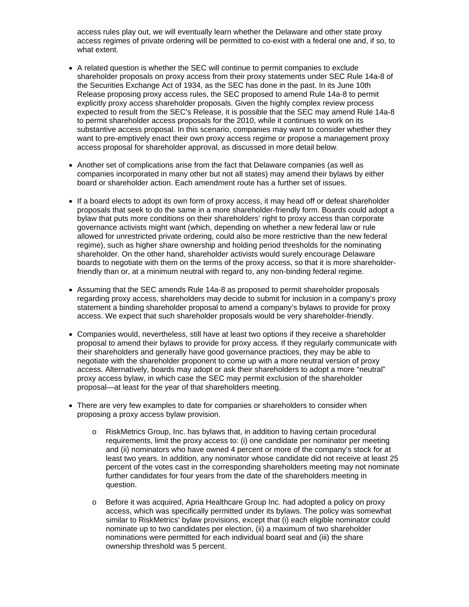access rules play out, we will eventually learn whether the Delaware and other state proxy access regimes of private ordering will be permitted to co-exist with a federal one and, if so, to what extent.

- A related question is whether the SEC will continue to permit companies to exclude shareholder proposals on proxy access from their proxy statements under SEC Rule 14a-8 of the Securities Exchange Act of 1934, as the SEC has done in the past. In its June 10th Release proposing proxy access rules, the SEC proposed to amend Rule 14a-8 to permit explicitly proxy access shareholder proposals. Given the highly complex review process expected to result from the SEC's Release, it is possible that the SEC may amend Rule 14a-8 to permit shareholder access proposals for the 2010, while it continues to work on its substantive access proposal. In this scenario, companies may want to consider whether they want to pre-emptively enact their own proxy access regime or propose a management proxy access proposal for shareholder approval, as discussed in more detail below.
- Another set of complications arise from the fact that Delaware companies (as well as companies incorporated in many other but not all states) may amend their bylaws by either board or shareholder action. Each amendment route has a further set of issues.
- If a board elects to adopt its own form of proxy access, it may head off or defeat shareholder proposals that seek to do the same in a more shareholder-friendly form. Boards could adopt a bylaw that puts more conditions on their shareholders' right to proxy access than corporate governance activists might want (which, depending on whether a new federal law or rule allowed for unrestricted private ordering, could also be more restrictive than the new federal regime), such as higher share ownership and holding period thresholds for the nominating shareholder. On the other hand, shareholder activists would surely encourage Delaware boards to negotiate with them on the terms of the proxy access, so that it is more shareholderfriendly than or, at a minimum neutral with regard to, any non-binding federal regime.
- Assuming that the SEC amends Rule 14a-8 as proposed to permit shareholder proposals regarding proxy access, shareholders may decide to submit for inclusion in a company's proxy statement a binding shareholder proposal to amend a company's bylaws to provide for proxy access. We expect that such shareholder proposals would be very shareholder-friendly.
- Companies would, nevertheless, still have at least two options if they receive a shareholder proposal to amend their bylaws to provide for proxy access. If they regularly communicate with their shareholders and generally have good governance practices, they may be able to negotiate with the shareholder proponent to come up with a more neutral version of proxy access. Alternatively, boards may adopt or ask their shareholders to adopt a more "neutral" proxy access bylaw, in which case the SEC may permit exclusion of the shareholder proposal—at least for the year of that shareholders meeting.
- There are very few examples to date for companies or shareholders to consider when proposing a proxy access bylaw provision.
	- o RiskMetrics Group, Inc. has bylaws that, in addition to having certain procedural requirements, limit the proxy access to: (i) one candidate per nominator per meeting and (ii) nominators who have owned 4 percent or more of the company's stock for at least two years. In addition, any nominator whose candidate did not receive at least 25 percent of the votes cast in the corresponding shareholders meeting may not nominate further candidates for four years from the date of the shareholders meeting in question.
	- o Before it was acquired, Apria Healthcare Group Inc. had adopted a policy on proxy access, which was specifically permitted under its bylaws. The policy was somewhat similar to RiskMetrics' bylaw provisions, except that (i) each eligible nominator could nominate up to two candidates per election, (ii) a maximum of two shareholder nominations were permitted for each individual board seat and (iii) the share ownership threshold was 5 percent.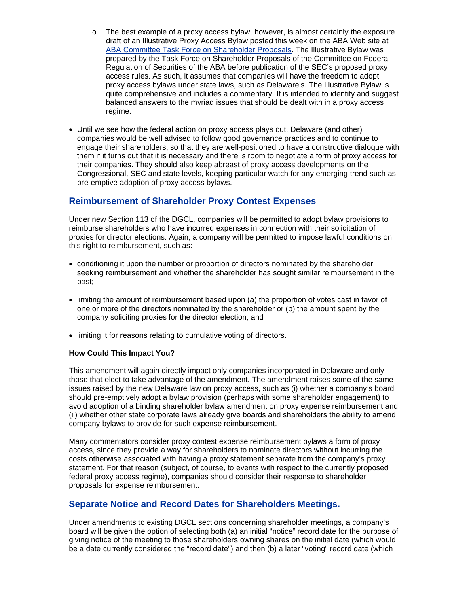- o The best example of a proxy access bylaw, however, is almost certainly the exposure draft of an Illustrative Proxy Access Bylaw posted this week on the ABA Web site at [ABA Committee Task Force on Shareholder Proposals](http://meetings.abanet.org/webupload/commupload/CL410000/sitesofinterest_files/illustrative_access_bylaw.pdf). The Illustrative Bylaw was prepared by the Task Force on Shareholder Proposals of the Committee on Federal Regulation of Securities of the ABA before publication of the SEC's proposed proxy access rules. As such, it assumes that companies will have the freedom to adopt proxy access bylaws under state laws, such as Delaware's. The Illustrative Bylaw is quite comprehensive and includes a commentary. It is intended to identify and suggest balanced answers to the myriad issues that should be dealt with in a proxy access regime.
- Until we see how the federal action on proxy access plays out, Delaware (and other) companies would be well advised to follow good governance practices and to continue to engage their shareholders, so that they are well-positioned to have a constructive dialogue with them if it turns out that it is necessary and there is room to negotiate a form of proxy access for their companies. They should also keep abreast of proxy access developments on the Congressional, SEC and state levels, keeping particular watch for any emerging trend such as pre-emptive adoption of proxy access bylaws.

## **Reimbursement of Shareholder Proxy Contest Expenses**

Under new Section 113 of the DGCL, companies will be permitted to adopt bylaw provisions to reimburse shareholders who have incurred expenses in connection with their solicitation of proxies for director elections. Again, a company will be permitted to impose lawful conditions on this right to reimbursement, such as:

- conditioning it upon the number or proportion of directors nominated by the shareholder seeking reimbursement and whether the shareholder has sought similar reimbursement in the past;
- limiting the amount of reimbursement based upon (a) the proportion of votes cast in favor of one or more of the directors nominated by the shareholder or (b) the amount spent by the company soliciting proxies for the director election; and
- limiting it for reasons relating to cumulative voting of directors.

#### **How Could This Impact You?**

This amendment will again directly impact only companies incorporated in Delaware and only those that elect to take advantage of the amendment. The amendment raises some of the same issues raised by the new Delaware law on proxy access, such as (i) whether a company's board should pre-emptively adopt a bylaw provision (perhaps with some shareholder engagement) to avoid adoption of a binding shareholder bylaw amendment on proxy expense reimbursement and (ii) whether other state corporate laws already give boards and shareholders the ability to amend company bylaws to provide for such expense reimbursement.

Many commentators consider proxy contest expense reimbursement bylaws a form of proxy access, since they provide a way for shareholders to nominate directors without incurring the costs otherwise associated with having a proxy statement separate from the company's proxy statement. For that reason (subject, of course, to events with respect to the currently proposed federal proxy access regime), companies should consider their response to shareholder proposals for expense reimbursement.

## **Separate Notice and Record Dates for Shareholders Meetings.**

Under amendments to existing DGCL sections concerning shareholder meetings, a company's board will be given the option of selecting both (a) an initial "notice" record date for the purpose of giving notice of the meeting to those shareholders owning shares on the initial date (which would be a date currently considered the "record date") and then (b) a later "voting" record date (which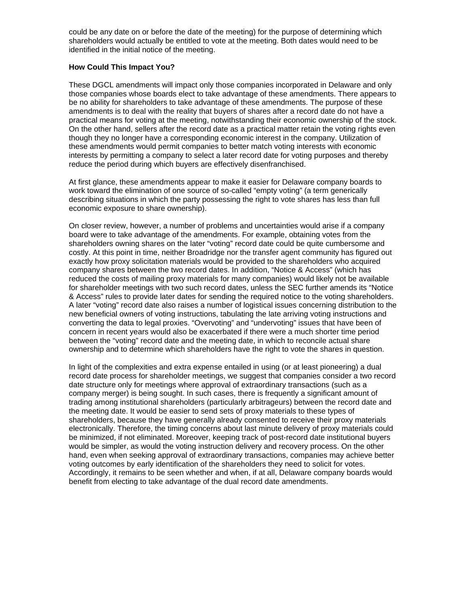could be any date on or before the date of the meeting) for the purpose of determining which shareholders would actually be entitled to vote at the meeting. Both dates would need to be identified in the initial notice of the meeting.

### **How Could This Impact You?**

These DGCL amendments will impact only those companies incorporated in Delaware and only those companies whose boards elect to take advantage of these amendments. There appears to be no ability for shareholders to take advantage of these amendments. The purpose of these amendments is to deal with the reality that buyers of shares after a record date do not have a practical means for voting at the meeting, notwithstanding their economic ownership of the stock. On the other hand, sellers after the record date as a practical matter retain the voting rights even though they no longer have a corresponding economic interest in the company. Utilization of these amendments would permit companies to better match voting interests with economic interests by permitting a company to select a later record date for voting purposes and thereby reduce the period during which buyers are effectively disenfranchised.

At first glance, these amendments appear to make it easier for Delaware company boards to work toward the elimination of one source of so-called "empty voting" (a term generically describing situations in which the party possessing the right to vote shares has less than full economic exposure to share ownership).

On closer review, however, a number of problems and uncertainties would arise if a company board were to take advantage of the amendments. For example, obtaining votes from the shareholders owning shares on the later "voting" record date could be quite cumbersome and costly. At this point in time, neither Broadridge nor the transfer agent community has figured out exactly how proxy solicitation materials would be provided to the shareholders who acquired company shares between the two record dates. In addition, "Notice & Access" (which has reduced the costs of mailing proxy materials for many companies) would likely not be available for shareholder meetings with two such record dates, unless the SEC further amends its "Notice & Access" rules to provide later dates for sending the required notice to the voting shareholders. A later "voting" record date also raises a number of logistical issues concerning distribution to the new beneficial owners of voting instructions, tabulating the late arriving voting instructions and converting the data to legal proxies. "Overvoting" and "undervoting" issues that have been of concern in recent years would also be exacerbated if there were a much shorter time period between the "voting" record date and the meeting date, in which to reconcile actual share ownership and to determine which shareholders have the right to vote the shares in question.

In light of the complexities and extra expense entailed in using (or at least pioneering) a dual record date process for shareholder meetings, we suggest that companies consider a two record date structure only for meetings where approval of extraordinary transactions (such as a company merger) is being sought. In such cases, there is frequently a significant amount of trading among institutional shareholders (particularly arbitrageurs) between the record date and the meeting date. It would be easier to send sets of proxy materials to these types of shareholders, because they have generally already consented to receive their proxy materials electronically. Therefore, the timing concerns about last minute delivery of proxy materials could be minimized, if not eliminated. Moreover, keeping track of post-record date institutional buyers would be simpler, as would the voting instruction delivery and recovery process. On the other hand, even when seeking approval of extraordinary transactions, companies may achieve better voting outcomes by early identification of the shareholders they need to solicit for votes. Accordingly, it remains to be seen whether and when, if at all, Delaware company boards would benefit from electing to take advantage of the dual record date amendments.